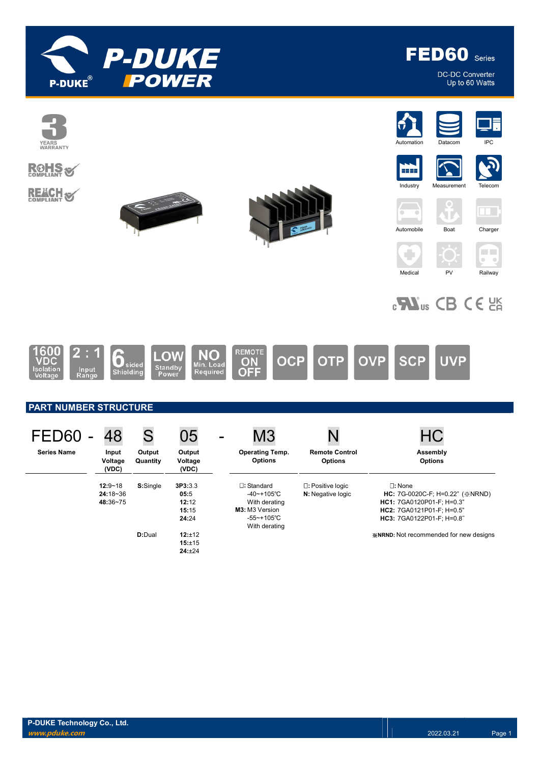

FED60 Series

DC-DC Converter Up to 60 Watts

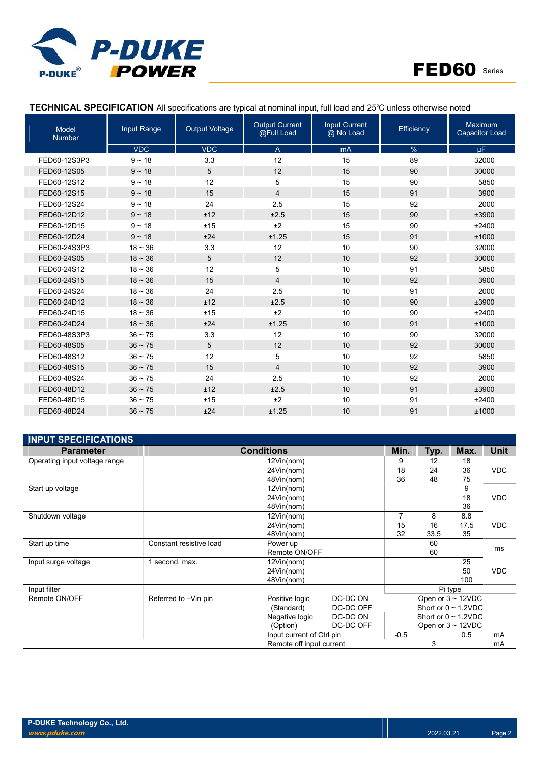



## TECHNICAL SPECIFICATION All specifications are typical at nominal input, full load and 25℃ unless otherwise noted

| <b>Model</b><br>Number | <b>Input Range</b> | <b>Output Voltage</b> | <b>Output Current</b><br>@Full Load | <b>Input Current</b><br>@ No Load | Efficiency | <b>Maximum</b><br><b>Capacitor Load</b> |
|------------------------|--------------------|-----------------------|-------------------------------------|-----------------------------------|------------|-----------------------------------------|
|                        | <b>VDC</b>         | <b>VDC</b>            | $\overline{A}$                      | mA                                | %          | <b>uF</b>                               |
| FED60-12S3P3           | $9 - 18$           | 3.3                   | 12                                  | 15                                | 89         | 32000                                   |
| FED60-12S05            | $9 - 18$           | 5                     | 12                                  | 15                                | 90         | 30000                                   |
| FED60-12S12            | $9 - 18$           | 12                    | 5                                   | 15                                | 90         | 5850                                    |
| FED60-12S15            | $9 - 18$           | 15                    | $\overline{4}$                      | 15                                | 91         | 3900                                    |
| FED60-12S24            | $9 - 18$           | 24                    | 2.5                                 | 15                                | 92         | 2000                                    |
| FED60-12D12            | $9 - 18$           | ±12                   | ±2.5                                | 15                                | 90         | ±3900                                   |
| FED60-12D15            | $9 - 18$           | ±15                   | ±2                                  | 15                                | 90         | ±2400                                   |
| FED60-12D24            | $9 - 18$           | ±24                   | ±1.25                               | 15                                | 91         | ±1000                                   |
| FED60-24S3P3           | $18 - 36$          | 3.3                   | 12                                  | 10                                | 90         | 32000                                   |
| FED60-24S05            | $18 - 36$          | 5                     | 12                                  | 10                                | 92         | 30000                                   |
| FED60-24S12            | $18 - 36$          | 12                    | 5                                   | 10                                | 91         | 5850                                    |
| FED60-24S15            | $18 - 36$          | 15                    | $\overline{4}$                      | 10                                | 92         | 3900                                    |
| FED60-24S24            | $18 - 36$          | 24                    | 2.5                                 | 10                                | 91         | 2000                                    |
| FED60-24D12            | $18 - 36$          | ±12                   | ±2.5                                | 10                                | 90         | ±3900                                   |
| FED60-24D15            | $18 - 36$          | ±15                   | ±2                                  | 10                                | 90         | ±2400                                   |
| FED60-24D24            | $18 - 36$          | ±24                   | ±1.25                               | 10                                | 91         | ±1000                                   |
| FED60-48S3P3           | $36 \sim 75$       | 3.3                   | 12                                  | 10                                | 90         | 32000                                   |
| FED60-48S05            | $36 \sim 75$       | 5                     | 12                                  | 10                                | 92         | 30000                                   |
| FED60-48S12            | $36 \sim 75$       | 12                    | 5                                   | 10                                | 92         | 5850                                    |
| FED60-48S15            | $36 \sim 75$       | 15                    | $\overline{4}$                      | 10                                | 92         | 3900                                    |
| FED60-48S24            | $36 - 75$          | 24                    | 2.5                                 | 10                                | 92         | 2000                                    |
| FED60-48D12            | $36 \sim 75$       | ±12                   | ±2.5                                | 10                                | 91         | ±3900                                   |
| FED60-48D15            | $36 - 75$          | ±15                   | ±2                                  | 10                                | 91         | ±2400                                   |
| FED60-48D24            | $36 - 75$          | ±24                   | ±1.25                               | 10                                | 91         | ±1000                                   |

| <b>INPUT SPECIFICATIONS</b>   |                          |                           |           |        |      |                           |            |
|-------------------------------|--------------------------|---------------------------|-----------|--------|------|---------------------------|------------|
| <b>Parameter</b>              | <b>Conditions</b>        | Min.                      | Typ.      | Max.   | Unit |                           |            |
| Operating input voltage range |                          | 12Vin(nom)                |           | 9      | 12   | 18                        |            |
|                               |                          | 24Vin(nom)                |           | 18     | 24   | 36                        | <b>VDC</b> |
|                               |                          | 48Vin(nom)                |           | 36     | 48   | 75                        |            |
| Start up voltage              |                          | 12Vin(nom)                |           |        |      | 9                         |            |
|                               |                          | 24Vin(nom)                |           |        |      | 18                        | <b>VDC</b> |
|                               |                          | 48Vin(nom)                |           |        |      | 36                        |            |
| Shutdown voltage              |                          | 12Vin(nom)                |           | 7      | 8    | 8.8                       |            |
|                               |                          | 24Vin(nom)                |           | 15     | 16   | 17.5                      | <b>VDC</b> |
|                               |                          | 48Vin(nom)                |           | 32     | 33.5 | 35                        |            |
| Start up time                 | Constant resistive load  | Power up                  |           |        | 60   |                           | ms         |
|                               |                          | Remote ON/OFF             |           |        | 60   |                           |            |
| Input surge voltage           | 1 second, max.           | 12Vin(nom)                |           |        |      | 25                        |            |
|                               |                          | 24Vin(nom)                |           |        |      | 50                        | <b>VDC</b> |
|                               |                          | 48Vin(nom)                |           |        |      | 100                       |            |
| Input filter                  |                          |                           |           |        |      | Pi type                   |            |
| Remote ON/OFF                 | Referred to -Vin pin     | Positive logic            | DC-DC ON  |        |      | Open or $3 \sim 12$ VDC   |            |
|                               |                          | (Standard)                | DC-DC OFF |        |      | Short or $0 \sim 1.2$ VDC |            |
|                               |                          | Negative logic            | DC-DC ON  |        |      | Short or $0 \sim 1.2$ VDC |            |
|                               |                          | (Option)                  | DC-DC OFF |        |      | Open or $3 \sim 12$ VDC   |            |
|                               |                          | Input current of Ctrl pin |           | $-0.5$ |      | 0.5                       | mA         |
|                               | Remote off input current |                           |           |        | 3    |                           | mA         |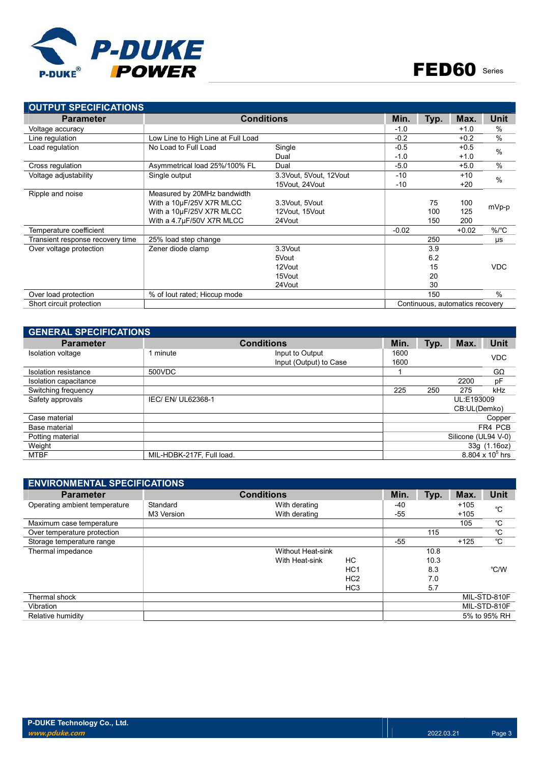

| <b>OUTPUT SPECIFICATIONS</b>     |                                    |                        |         |      |                                 |               |
|----------------------------------|------------------------------------|------------------------|---------|------|---------------------------------|---------------|
| <b>Parameter</b>                 | <b>Conditions</b>                  | Min.                   | Typ.    | Max. | Unit                            |               |
| Voltage accuracy                 |                                    |                        | $-1.0$  |      | $+1.0$                          | $\%$          |
| Line regulation                  | Low Line to High Line at Full Load |                        | $-0.2$  |      | $+0.2$                          | $\frac{0}{0}$ |
| Load regulation                  | No Load to Full Load               | Single                 | $-0.5$  |      | $+0.5$                          | $\frac{0}{0}$ |
|                                  |                                    | Dual                   | $-1.0$  |      | $+1.0$                          |               |
| Cross regulation                 | Asymmetrical load 25%/100% FL      | Dual                   | $-5.0$  |      | $+5.0$                          | $\frac{0}{0}$ |
| Voltage adjustability            | Single output                      | 3.3Vout, 5Vout, 12Vout | $-10$   |      | $+10$                           | $\frac{0}{0}$ |
|                                  |                                    | 15Vout, 24Vout         | $-10$   |      | $+20$                           |               |
| Ripple and noise                 | Measured by 20MHz bandwidth        |                        |         |      |                                 |               |
|                                  | With a 10µF/25V X7R MLCC           | 3.3Vout, 5Vout         |         | 75   | 100                             | mVp-p         |
|                                  | With a 10µF/25V X7R MLCC           | 12Vout, 15Vout         |         | 100  | 125                             |               |
|                                  | With a 4.7µF/50V X7R MLCC          | 24Vout                 |         | 150  | 200                             |               |
| Temperature coefficient          |                                    |                        | $-0.02$ |      | $+0.02$                         | $\%$ /°C      |
| Transient response recovery time | 25% load step change               |                        |         | 250  |                                 | μs            |
| Over voltage protection          | Zener diode clamp                  | 3.3Vout                |         | 3.9  |                                 |               |
|                                  |                                    | 5Vout                  |         | 6.2  |                                 |               |
|                                  |                                    | 12Vout                 |         | 15   |                                 | <b>VDC</b>    |
|                                  |                                    | 15Vout                 |         | 20   |                                 |               |
|                                  |                                    | 24Vout                 |         | 30   |                                 |               |
| Over load protection             | % of lout rated; Hiccup mode       |                        |         | 150  |                                 | $\%$          |
| Short circuit protection         |                                    |                        |         |      | Continuous, automatics recovery |               |

| <b>GENERAL SPECIFICATIONS</b> |                           |                        |      |      |                     |                         |  |  |
|-------------------------------|---------------------------|------------------------|------|------|---------------------|-------------------------|--|--|
| <b>Parameter</b>              |                           | <b>Conditions</b>      | Min. | Typ. | Max.                | <b>Unit</b>             |  |  |
| Isolation voltage             | 1 minute                  | Input to Output        | 1600 |      |                     | <b>VDC</b>              |  |  |
|                               |                           | Input (Output) to Case | 1600 |      |                     |                         |  |  |
| Isolation resistance          | 500VDC                    |                        |      |      |                     | $G\Omega$               |  |  |
| Isolation capacitance         |                           |                        |      |      | 2200                | pF                      |  |  |
| Switching frequency           |                           |                        | 225  | 250  | 275                 | kHz                     |  |  |
| Safety approvals              | IEC/EN/UL62368-1          |                        |      |      |                     | UL:E193009              |  |  |
|                               |                           |                        |      |      | CB:UL(Demko)        |                         |  |  |
| Case material                 |                           |                        |      |      |                     | Copper                  |  |  |
| Base material                 |                           |                        |      |      |                     | FR4 PCB                 |  |  |
| Potting material              |                           |                        |      |      | Silicone (UL94 V-0) |                         |  |  |
| Weight                        |                           |                        |      |      |                     | 33g (1.16oz)            |  |  |
| <b>MTBF</b>                   | MIL-HDBK-217F. Full load. |                        |      |      |                     | $8.804 \times 10^5$ hrs |  |  |

| <b>ENVIRONMENTAL SPECIFICATIONS</b> |            |                          |                 |       |      |        |              |  |  |
|-------------------------------------|------------|--------------------------|-----------------|-------|------|--------|--------------|--|--|
| <b>Parameter</b>                    |            | <b>Conditions</b>        |                 | Min.  | Typ. | Max.   | <b>Unit</b>  |  |  |
| Operating ambient temperature       | Standard   | With derating            |                 | -40   |      | $+105$ | °C           |  |  |
|                                     | M3 Version | With derating            |                 | $-55$ |      | $+105$ |              |  |  |
| Maximum case temperature            |            |                          |                 |       |      | 105    | °C           |  |  |
| Over temperature protection         |            |                          |                 |       | 115  |        | $^{\circ}C$  |  |  |
| Storage temperature range           |            |                          |                 | -55   |      | $+125$ | $^{\circ}$ C |  |  |
| Thermal impedance                   |            | <b>Without Heat-sink</b> |                 |       | 10.8 |        |              |  |  |
|                                     |            | With Heat-sink           | HC              |       | 10.3 |        |              |  |  |
|                                     |            |                          | HC <sub>1</sub> |       | 8.3  |        | °C/W         |  |  |
|                                     |            |                          | HC <sub>2</sub> |       | 7.0  |        |              |  |  |
|                                     |            |                          | HC <sub>3</sub> |       | 5.7  |        |              |  |  |
| Thermal shock                       |            |                          |                 |       |      |        | MIL-STD-810F |  |  |
| Vibration                           |            |                          |                 |       |      |        | MIL-STD-810F |  |  |
| Relative humidity                   |            |                          |                 |       |      |        | 5% to 95% RH |  |  |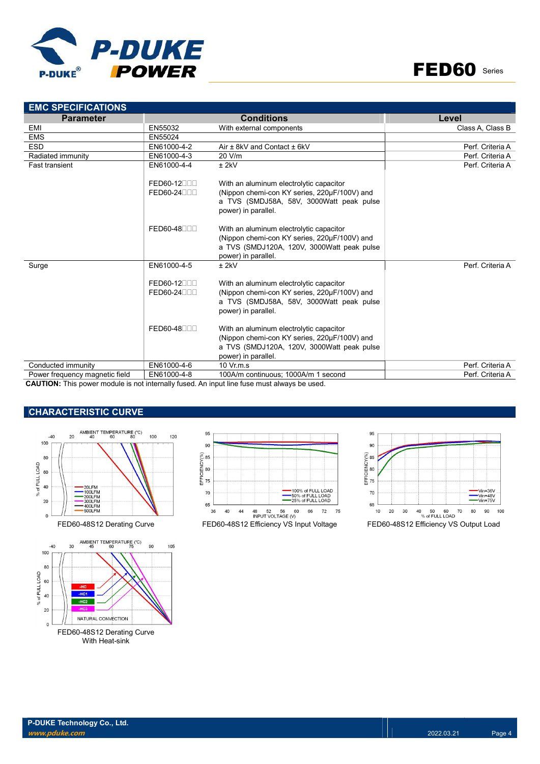



| <b>EMC SPECIFICATIONS</b>      |                            |                                                                                                                                                              |                  |
|--------------------------------|----------------------------|--------------------------------------------------------------------------------------------------------------------------------------------------------------|------------------|
| <b>Parameter</b>               |                            | <b>Conditions</b>                                                                                                                                            | Level            |
| EMI                            | EN55032                    | With external components                                                                                                                                     | Class A, Class B |
| <b>EMS</b>                     | EN55024                    |                                                                                                                                                              |                  |
| <b>ESD</b>                     | EN61000-4-2                | Air ± 8kV and Contact ± 6kV                                                                                                                                  | Perf. Criteria A |
| Radiated immunity              | EN61000-4-3                | 20 V/m                                                                                                                                                       | Perf. Criteria A |
| <b>Fast transient</b>          | EN61000-4-4                | $±$ 2kV                                                                                                                                                      | Perf. Criteria A |
|                                | FED60-12000                | With an aluminum electrolytic capacitor                                                                                                                      |                  |
|                                | FED60-24000                | (Nippon chemi-con KY series, 220µF/100V) and<br>a TVS (SMDJ58A, 58V, 3000Watt peak pulse<br>power) in parallel.                                              |                  |
|                                | FED60-48 <sub>UU</sub>     | With an aluminum electrolytic capacitor<br>(Nippon chemi-con KY series, 220µF/100V) and<br>a TVS (SMDJ120A, 120V, 3000Watt peak pulse<br>power) in parallel. |                  |
| Surge                          | EN61000-4-5                | $±$ 2kV                                                                                                                                                      | Perf. Criteria A |
|                                | FED60-12000<br>FED60-24000 | With an aluminum electrolytic capacitor<br>(Nippon chemi-con KY series, 220µF/100V) and<br>a TVS (SMDJ58A, 58V, 3000Watt peak pulse<br>power) in parallel.   |                  |
|                                | FED60-48 <sub>00</sub>     | With an aluminum electrolytic capacitor<br>(Nippon chemi-con KY series, 220µF/100V) and<br>a TVS (SMDJ120A, 120V, 3000Watt peak pulse<br>power) in parallel. |                  |
| Conducted immunity             | EN61000-4-6                | $10 \,$ Vr.m.s                                                                                                                                               | Perf. Criteria A |
| Power frequency magnetic field | EN61000-4-8                | 100A/m continuous; 1000A/m 1 second                                                                                                                          | Perf. Criteria A |

CAUTION: This power module is not internally fused. An input line fuse must always be used.

# CHARACTERISTIC CURVE







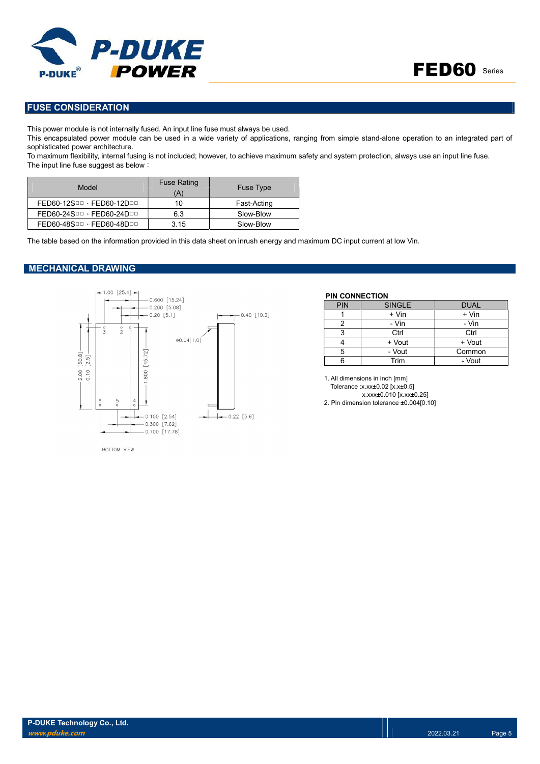



## FUSE CONSIDERATION

This power module is not internally fused. An input line fuse must always be used.

This encapsulated power module can be used in a wide variety of applications, ranging from simple stand-alone operation to an integrated part of sophisticated power architecture.

To maximum flexibility, internal fusing is not included; however, to achieve maximum safety and system protection, always use an input line fuse. The input line fuse suggest as below:

| Model                     | <b>Fuse Rating</b><br>(A) | <b>Fuse Type</b> |
|---------------------------|---------------------------|------------------|
| FED60-12SDD · FED60-12DDD | 10                        | Fast-Acting      |
| FED60-24SDD · FED60-24DDD | 6.3                       | Slow-Blow        |
| FED60-48SDD · FED60-48DDD | 3.15                      | Slow-Blow        |

The table based on the information provided in this data sheet on inrush energy and maximum DC input current at low Vin.

### MECHANICAL DRAWING



### PIN CONNECTION

| <b>PIN</b> | <b>SINGLE</b> | <b>DUAL</b> |
|------------|---------------|-------------|
|            | + Vin         | + Vin       |
|            | - Vin         | - Vin       |
| 3          | Ctrl          | Ctrl        |
|            | + Vout        | + Vout      |
| 5          | - Vout        | Common      |
|            | Trim          | - Vout      |

1. All dimensions in inch [mm] Tolerance :x.xx±0.02 [x.x±0.5] x.xxx±0.010 [x.xx±0.25] 2. Pin dimension tolerance ±0.004[0.10]

**ROTTOM VIEW**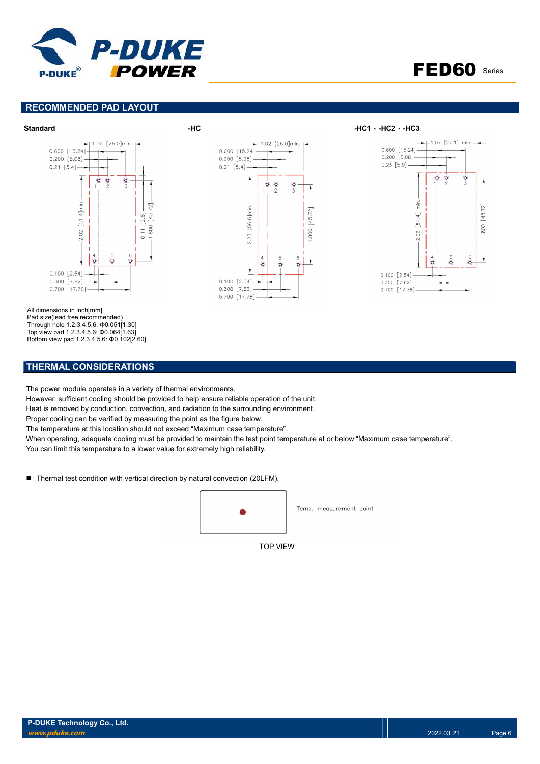



### RECOMMENDED PAD LAYOUT





 $0.600$  [15.24]  $0.200$  [5.08]  $0.21$  [5.4]  $\ddot{\mathbf{O}}$ **C** O 2.23 [56.6]min  $[45.72]$ 800  $\ddot{\mathbf{O}}$ Ġ 0.100 [2.54] 0.300 [7.62]  $0.700$  [17.78]

 $1.02$  [26.0]min.





All dimensions in inch[mm] Pad size(lead free recommended) Through hole 1.2.3.4.5.6: Φ0.051[1.30] Top view pad 1.2.3.4.5.6: Φ0.064[1.63] Bottom view pad 1.2.3.4.5.6: Φ0.102[2.60]

### THERMAL CONSIDERATIONS

The power module operates in a variety of thermal environments.

However, sufficient cooling should be provided to help ensure reliable operation of the unit.

Heat is removed by conduction, convection, and radiation to the surrounding environment.

Proper cooling can be verified by measuring the point as the figure below.

The temperature at this location should not exceed "Maximum case temperature".

When operating, adequate cooling must be provided to maintain the test point temperature at or below "Maximum case temperature". You can limit this temperature to a lower value for extremely high reliability.

■ Thermal test condition with vertical direction by natural convection (20LFM).

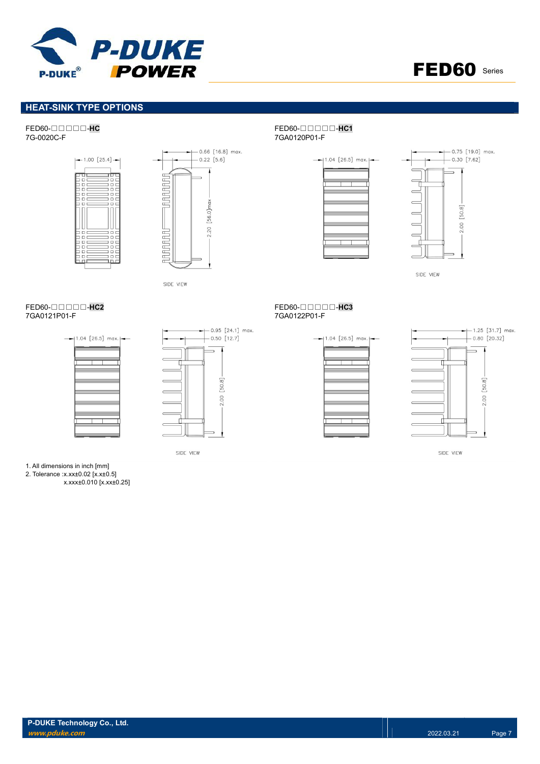



# **HEAT-SINK TYPE OPTIONS**





SIDE VIEW

# FED60-□□□□-<mark>HC2</mark><br>7GA0121P01-F<br>7GA0121P01-F





SIDE VIEW

### FED60-□□□□-HC<br>
7G-0020C-F<br>
7G-0020C-F 7GA0120P01-F





SIDE VIEW

# 7GA0122P01-F





SIDE VIEW

1. All dimensions in inch [mm] 2. Tolerance :x.xx±0.02 [x.x±0.5] x.xxx±0.010 [x.xx±0.25]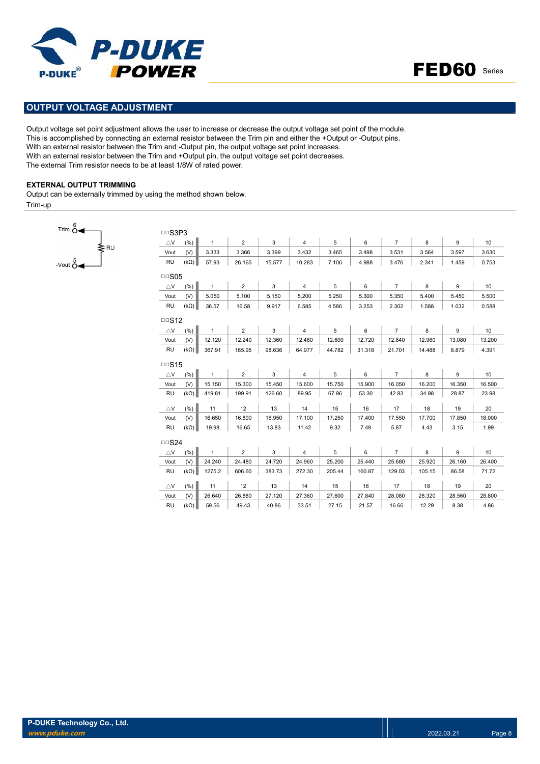



# OUTPUT VOLTAGE ADJUSTMENT

Output voltage set point adjustment allows the user to increase or decrease the output voltage set point of the module. This is accomplished by connecting an external resistor between the Trim pin and either the +Output or -Output pins. With an external resistor between the Trim and -Output pin, the output voltage set point increases. With an external resistor between the Trim and +Output pin, the output voltage set point decreases. The external Trim resistor needs to be at least 1/8W of rated power.

### EXTERNAL OUTPUT TRIMMING

Output can be externally trimmed by using the method shown below. Trim-up



| DDS3P3        |             |              |                |        |                |        |        |                |        |        |        |
|---------------|-------------|--------------|----------------|--------|----------------|--------|--------|----------------|--------|--------|--------|
| $\triangle$ V | (%)         | $\mathbf{1}$ | $\overline{2}$ | 3      | $\overline{4}$ | 5      | 6      | $\overline{7}$ | 8      | 9      | 10     |
| Vout          | (V)         | 3.333        | 3.366          | 3.399  | 3.432          | 3.465  | 3.498  | 3.531          | 3.564  | 3.597  | 3.630  |
| <b>RU</b>     | $(k\Omega)$ | 57.93        | 26.165         | 15.577 | 10.283         | 7.106  | 4.988  | 3.476          | 2.341  | 1.459  | 0.753  |
| $\Box$ SO5    |             |              |                |        |                |        |        |                |        |        |        |
| $\triangle$ V | (% )        | $\mathbf{1}$ | $\overline{2}$ | 3      | $\overline{4}$ | 5      | 6      | $\overline{7}$ | 8      | 9      | 10     |
| Vout          | (V)         | 5.050        | 5.100          | 5.150  | 5.200          | 5.250  | 5.300  | 5.350          | 5.400  | 5.450  | 5.500  |
| <b>RU</b>     | $(k\Omega)$ | 36.57        | 16.58          | 9.917  | 6.585          | 4.586  | 3.253  | 2.302          | 1.588  | 1.032  | 0.588  |
| $\Box$ S12    |             |              |                |        |                |        |        |                |        |        |        |
| $\triangle$ V | (% )        | $\mathbf{1}$ | $\overline{2}$ | 3      | $\overline{4}$ | 5      | 6      | $\overline{7}$ | 8      | 9      | 10     |
| Vout          | (V)         | 12.120       | 12.240         | 12.360 | 12.480         | 12.600 | 12.720 | 12.840         | 12.960 | 13.080 | 13.200 |
| <b>RU</b>     | $(k\Omega)$ | 367.91       | 165.95         | 98.636 | 64.977         | 44.782 | 31.318 | 21.701         | 14.488 | 8.879  | 4.391  |
| $\Box$ S15    |             |              |                |        |                |        |        |                |        |        |        |
| $\triangle$ V | (%)         | $\mathbf{1}$ | $\overline{2}$ | 3      | $\overline{4}$ | 5      | 6      | $\overline{7}$ | 8      | 9      | 10     |
| Vout          | (V)         | 15.150       | 15.300         | 15.450 | 15.600         | 15.750 | 15.900 | 16.050         | 16.200 | 16.350 | 16.500 |
| <b>RU</b>     | $(k\Omega)$ | 419.81       | 199.91         | 126.60 | 89.95          | 67.96  | 53.30  | 42.83          | 34.98  | 28.87  | 23.98  |
| $\triangle$ V | (%)         | 11           | 12             | 13     | 14             | 15     | 16     | 17             | 18     | 19     | 20     |
| Vout          | (V)         | 16.650       | 16.800         | 16.950 | 17.100         | 17.250 | 17.400 | 17.550         | 17.700 | 17.850 | 18.000 |
| <b>RU</b>     | $(k\Omega)$ | 19.98        | 16.65          | 13.83  | 11.42          | 9.32   | 7.49   | 5.87           | 4.43   | 3.15   | 1.99   |
| $\Box$ S24    |             |              |                |        |                |        |        |                |        |        |        |
| $\triangle$ V | (%)         | $\mathbf{1}$ | $\overline{2}$ | 3      | $\overline{4}$ | 5      | 6      | $\overline{7}$ | 8      | 9      | 10     |
| Vout          | (V)         | 24.240       | 24.480         | 24.720 | 24.960         | 25.200 | 25.440 | 25.680         | 25.920 | 26.160 | 26.400 |
| <b>RU</b>     | $(k\Omega)$ | 1275.2       | 606.60         | 383.73 | 272.30         | 205.44 | 160.87 | 129.03         | 105.15 | 86.58  | 71.72  |
|               |             |              |                |        |                |        |        |                |        |        |        |
| $\triangle$ V | (%)         | 11           | 12             | 13     | 14             | 15     | 16     | 17             | 18     | 19     | 20     |
| Vout          | (V)         | 26.640       | 26.880         | 27.120 | 27.360         | 27.600 | 27.840 | 28.080         | 28.320 | 28.560 | 28.800 |
| <b>RU</b>     | $(k\Omega)$ | 59.56        | 49.43          | 40.86  | 33.51          | 27.15  | 21.57  | 16.66          | 12.29  | 8.38   | 4.86   |